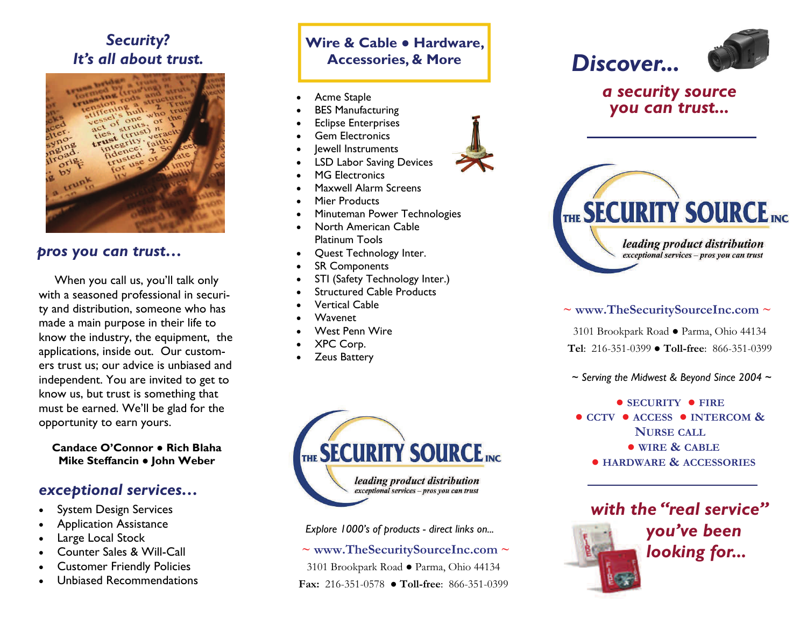# *Security? It's all about trust.*



#### *pros you can trust…*

When you call us, you'll talk only with a seasoned professional in security and distribution, someone who has made a main purpose in their life to know the industry, the equipment, the applications, inside out. Our customers trust us; our advice is unbiased and independent. You are invited to get to know us, but trust is something that must be earned. We'll be glad for the opportunity to earn yours.

**Candace O'Connor ● Rich Blaha Mike Steffancin ● John Weber** 

#### *exceptional services…*

- . System Design Services
- $\bullet$ Application Assistance
- $\bullet$ Large Local Stock
- $\bullet$ Counter Sales & Will-Call
- $\bullet$ Customer Friendly Policies
- $\bullet$ Unbiased Recommendations

## **Wire & Cable ● Hardware, Accessories, & More**

- $\bullet$ Acme Staple
- $\bullet$ BES Manufacturing
- $\bullet$ Eclipse Enterprises
- $\bullet$ Gem Electronics
- $\bullet$ Jewell Instruments
- $\bullet$ LSD Labor Saving Devices
- $\bullet$ MG Electronics
- $\bullet$ Maxwell Alarm Screens
- $\bullet$ Mier Products
- $\bullet$ Minuteman Power Technologies
- $\bullet$  North American Cable Platinum Tools
- $\bullet$ Quest Technology Inter.
- $\bullet$ SR Components
- $\bullet$ STI (Safety Technology Inter.)
- $\bullet$ Structured Cable Products
- $\bullet$ Vertical Cable
- $\bullet$ Wavenet
- $\bullet$ West Penn Wire
- $\bullet$ XPC Corp.
- $\bullet$ Zeus Battery



*Explore 1000's of products - direct links on...*

**~ www.TheSecuritySourceInc.com ~**

3101 Brookpark Road ● Parma, Ohio 44134 **Fax:** 216-351-0578 ● **Toll-free**: 866-351-0399







### *a security source you can trust...*



### **~ www.TheSecuritySourceInc.com ~**

3101 Brookpark Road ● Parma, Ohio 44134 **Tel**: 216-351-0399 ● **Toll-free**: 866-351-0399

<sup>~</sup>*Serving the Midwest & Beyond Since 2004* <sup>~</sup>

**● SECURITY ● FIRE● CCTV ● ACCESS ● INTERCOM & NURSE CALL ● WIRE & CABLE● HARDWARE & ACCESSORIES**